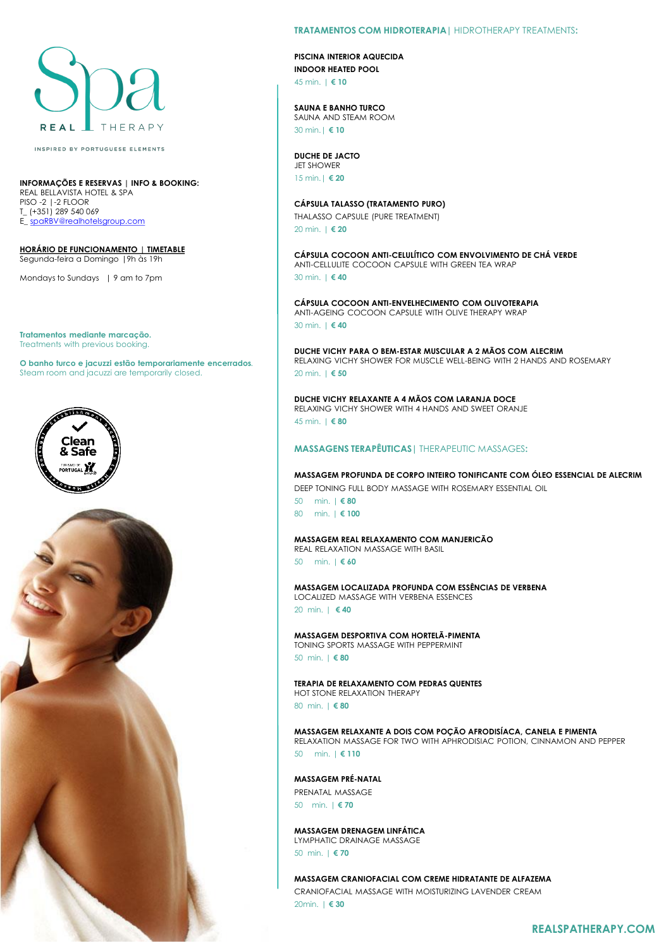# THERAPY REAL

INSPIRED BY PORTUGUESE ELEMENTS

# **INFORMAÇÕES E RESERVAS | INFO & BOOKING:**

REAL BELLAVISTA HOTEL & SPA PISO -2 |-2 FLOOR T\_ (+351) 289 540 069 E\_ [spaRBV@realhotelsgroup.com](mailto:spaRBV@realhotelsgroup.com)

**HORÁRIO DE FUNCIONAMENTO | TIMETABLE** Segunda-feira a Domingo |9h às 19h

Mondays to Sundays | 9 am to 7pm

**Tratamentos mediante marcação.** Treatments with previous booking.

**O banho turco e jacuzzi estão temporariamente encerrados**. Steam room and jacuzzi are temporarily closed.





# **TRATAMENTOS COM HIDROTERAPIA|** HIDROTHERAPY TREATMENTS**:**

**PISCINA INTERIOR AQUECIDA INDOOR HEATED POOL** 45 min. | **€ 10**

**SAUNA E BANHO TURCO** SAUNA AND STEAM ROOM 30 min.| **€ 10**

**DUCHE DE JACTO** JET SHOWER 15 min.| **€ 20**

**CÁPSULA TALASSO (TRATAMENTO PURO)** THALASSO CAPSULE (PURE TREATMENT) 20 min. | **€ 20**

**CÁPSULA COCOON ANTI-CELULÍTICO COM ENVOLVIMENTO DE CHÁ VERDE** ANTI-CELLULITE COCOON CAPSULE WITH GREEN TEA WRAP 30 min. | **€ 40**

**CÁPSULA COCOON ANTI-ENVELHECIMENTO COM OLIVOTERAPIA** ANTI-AGEING COCOON CAPSULE WITH OLIVE THERAPY WRAP 30 min. | **€ 40**

**DUCHE VICHY PARA O BEM-ESTAR MUSCULAR A 2 MÃOS COM ALECRIM** RELAXING VICHY SHOWER FOR MUSCLE WELL-BEING WITH 2 HANDS AND ROSEMARY 20 min. | **€ 50**

**DUCHE VICHY RELAXANTE A 4 MÃOS COM LARANJA DOCE** RELAXING VICHY SHOWER WITH 4 HANDS AND SWEET ORANJE 45 min. | **€ 80**

# **MASSAGENS TERAPÊUTICAS|** THERAPEUTIC MASSAGES**:**

**MASSAGEM PROFUNDA DE CORPO INTEIRO TONIFICANTE COM ÓLEO ESSENCIAL DE ALECRIM** DEEP TONING FULL BODY MASSAGE WITH ROSEMARY ESSENTIAL OIL

50 min. | **€ 80** 80 min. | **€ 100**

#### **MASSAGEM REAL RELAXAMENTO COM MANJERICÃO** REAL RELAXATION MASSAGE WITH BASIL

50 min. | **€ 60**

**MASSAGEM LOCALIZADA PROFUNDA COM ESSÊNCIAS DE VERBENA**  LOCALIZED MASSAGE WITH VERBENA ESSENCES 20 min. | **€ 40**

**MASSAGEM DESPORTIVA COM HORTELÃ-PIMENTA** TONING SPORTS MASSAGE WITH PEPPERMINT

50 min. | **€ 80**

**TERAPIA DE RELAXAMENTO COM PEDRAS QUENTES**  HOT STONE RELAXATION THERAPY

80 min. | **€ 80**

**MASSAGEM RELAXANTE A DOIS COM POÇÃO AFRODISÍACA, CANELA E PIMENTA**  RELAXATION MASSAGE FOR TWO WITH APHRODISIAC POTION, CINNAMON AND PEPPER

50 min. | **€ 110**

#### **MASSAGEM PRÉ-NATAL**

PRENATAL MASSAGE 50 min. | **€ 70**

**MASSAGEM DRENAGEM LINFÁTICA** LYMPHATIC DRAINAGE MASSAGE

50 min. | **€ 70**

### **MASSAGEM CRANIOFACIAL COM CREME HIDRATANTE DE ALFAZEMA**

CRANIOFACIAL MASSAGE WITH MOISTURIZING LAVENDER CREAM 20min. | **€ 30**